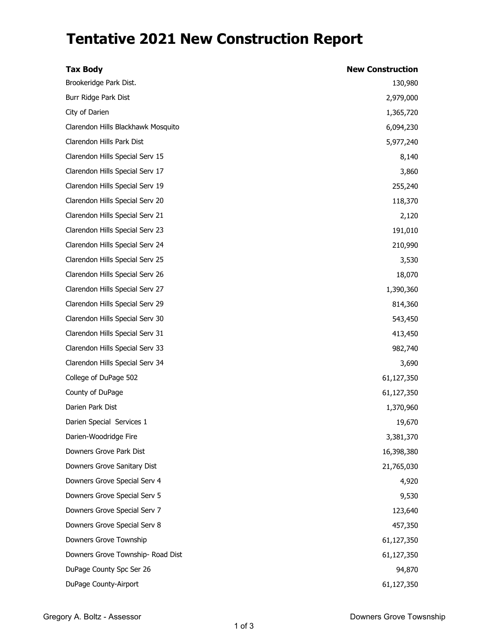## **Tentative 2021 New Construction Report**

| <b>Tax Body</b>                    | <b>New Construction</b> |
|------------------------------------|-------------------------|
| Brookeridge Park Dist.             | 130,980                 |
| Burr Ridge Park Dist               | 2,979,000               |
| City of Darien                     | 1,365,720               |
| Clarendon Hills Blackhawk Mosquito | 6,094,230               |
| Clarendon Hills Park Dist          | 5,977,240               |
| Clarendon Hills Special Serv 15    | 8,140                   |
| Clarendon Hills Special Serv 17    | 3,860                   |
| Clarendon Hills Special Serv 19    | 255,240                 |
| Clarendon Hills Special Serv 20    | 118,370                 |
| Clarendon Hills Special Serv 21    | 2,120                   |
| Clarendon Hills Special Serv 23    | 191,010                 |
| Clarendon Hills Special Serv 24    | 210,990                 |
| Clarendon Hills Special Serv 25    | 3,530                   |
| Clarendon Hills Special Serv 26    | 18,070                  |
| Clarendon Hills Special Serv 27    | 1,390,360               |
| Clarendon Hills Special Serv 29    | 814,360                 |
| Clarendon Hills Special Serv 30    | 543,450                 |
| Clarendon Hills Special Serv 31    | 413,450                 |
| Clarendon Hills Special Serv 33    | 982,740                 |
| Clarendon Hills Special Serv 34    | 3,690                   |
| College of DuPage 502              | 61,127,350              |
| County of DuPage                   | 61,127,350              |
| Darien Park Dist                   | 1,370,960               |
| Darien Special Services 1          | 19,670                  |
| Darien-Woodridge Fire              | 3,381,370               |
| Downers Grove Park Dist            | 16,398,380              |
| Downers Grove Sanitary Dist        | 21,765,030              |
| Downers Grove Special Serv 4       | 4,920                   |
| Downers Grove Special Serv 5       | 9,530                   |
| Downers Grove Special Serv 7       | 123,640                 |
| Downers Grove Special Serv 8       | 457,350                 |
| Downers Grove Township             | 61,127,350              |
| Downers Grove Township- Road Dist  | 61,127,350              |
| DuPage County Spc Ser 26           | 94,870                  |
| DuPage County-Airport              | 61,127,350              |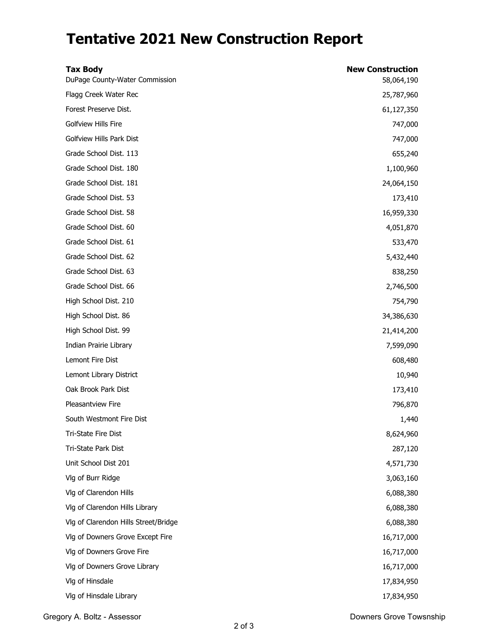## **Tentative 2021 New Construction Report**

| <b>Tax Body</b><br>DuPage County-Water Commission | <b>New Construction</b><br>58,064,190 |
|---------------------------------------------------|---------------------------------------|
| Flagg Creek Water Rec                             | 25,787,960                            |
| Forest Preserve Dist.                             | 61,127,350                            |
| Golfview Hills Fire                               | 747,000                               |
| Golfview Hills Park Dist                          | 747,000                               |
| Grade School Dist. 113                            | 655,240                               |
| Grade School Dist. 180                            | 1,100,960                             |
| Grade School Dist. 181                            | 24,064,150                            |
| Grade School Dist. 53                             | 173,410                               |
| Grade School Dist. 58                             | 16,959,330                            |
| Grade School Dist. 60                             | 4,051,870                             |
| Grade School Dist. 61                             | 533,470                               |
| Grade School Dist. 62                             | 5,432,440                             |
| Grade School Dist. 63                             | 838,250                               |
| Grade School Dist. 66                             | 2,746,500                             |
| High School Dist. 210                             | 754,790                               |
| High School Dist. 86                              | 34,386,630                            |
| High School Dist. 99                              | 21,414,200                            |
| Indian Prairie Library                            | 7,599,090                             |
| Lemont Fire Dist                                  | 608,480                               |
| Lemont Library District                           | 10,940                                |
| Oak Brook Park Dist                               | 173,410                               |
| Pleasantview Fire                                 | 796,870                               |
| South Westmont Fire Dist                          | 1,440                                 |
| Tri-State Fire Dist                               | 8,624,960                             |
| Tri-State Park Dist                               | 287,120                               |
| Unit School Dist 201                              | 4,571,730                             |
| Vlg of Burr Ridge                                 | 3,063,160                             |
| Vlg of Clarendon Hills                            | 6,088,380                             |
| Vlg of Clarendon Hills Library                    | 6,088,380                             |
| Vlg of Clarendon Hills Street/Bridge              | 6,088,380                             |
| Vlg of Downers Grove Except Fire                  | 16,717,000                            |
| Vlg of Downers Grove Fire                         | 16,717,000                            |
| Vlg of Downers Grove Library                      | 16,717,000                            |
| Vlg of Hinsdale                                   | 17,834,950                            |
| Vlg of Hinsdale Library                           | 17,834,950                            |

Gregory A. Boltz - Assessor